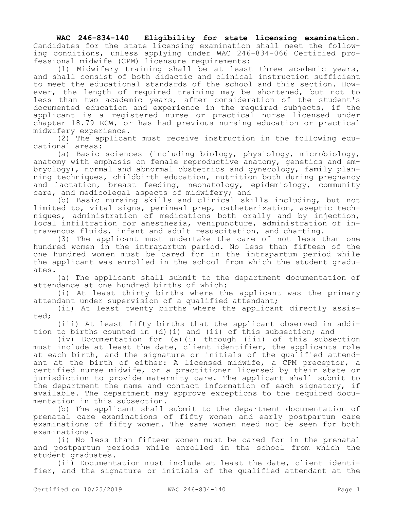**WAC 246-834-140 Eligibility for state licensing examination.**  Candidates for the state licensing examination shall meet the following conditions, unless applying under WAC 246-834-066 Certified professional midwife (CPM) licensure requirements:

(1) Midwifery training shall be at least three academic years, and shall consist of both didactic and clinical instruction sufficient to meet the educational standards of the school and this section. However, the length of required training may be shortened, but not to less than two academic years, after consideration of the student's documented education and experience in the required subjects, if the applicant is a registered nurse or practical nurse licensed under chapter 18.79 RCW, or has had previous nursing education or practical midwifery experience.

(2) The applicant must receive instruction in the following educational areas:

(a) Basic sciences (including biology, physiology, microbiology, anatomy with emphasis on female reproductive anatomy, genetics and embryology), normal and abnormal obstetrics and gynecology, family planning techniques, childbirth education, nutrition both during pregnancy and lactation, breast feeding, neonatology, epidemiology, community care, and medicolegal aspects of midwifery; and

(b) Basic nursing skills and clinical skills including, but not limited to, vital signs, perineal prep, catheterization, aseptic techniques, administration of medications both orally and by injection, local infiltration for anesthesia, venipuncture, administration of intravenous fluids, infant and adult resuscitation, and charting.

(3) The applicant must undertake the care of not less than one hundred women in the intrapartum period. No less than fifteen of the one hundred women must be cared for in the intrapartum period while the applicant was enrolled in the school from which the student graduates.

(a) The applicant shall submit to the department documentation of attendance at one hundred births of which:

(i) At least thirty births where the applicant was the primary attendant under supervision of a qualified attendant;

(ii) At least twenty births where the applicant directly assisted;

(iii) At least fifty births that the applicant observed in addition to births counted in (d)(i) and (ii) of this subsection; and

(iv) Documentation for (a)(i) through (iii) of this subsection must include at least the date, client identifier, the applicants role at each birth, and the signature or initials of the qualified attendant at the birth of either: A licensed midwife, a CPM preceptor, a certified nurse midwife, or a practitioner licensed by their state or jurisdiction to provide maternity care. The applicant shall submit to the department the name and contact information of each signatory, if available. The department may approve exceptions to the required documentation in this subsection.

(b) The applicant shall submit to the department documentation of prenatal care examinations of fifty women and early postpartum care examinations of fifty women. The same women need not be seen for both examinations.

(i) No less than fifteen women must be cared for in the prenatal and postpartum periods while enrolled in the school from which the student graduates.

(ii) Documentation must include at least the date, client identifier, and the signature or initials of the qualified attendant at the